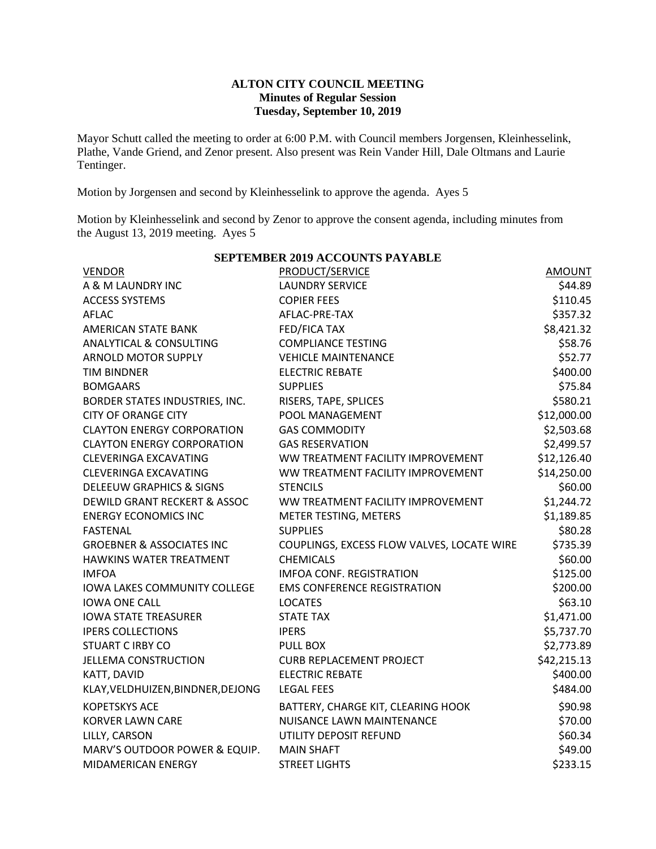## **ALTON CITY COUNCIL MEETING Minutes of Regular Session Tuesday, September 10, 2019**

Mayor Schutt called the meeting to order at 6:00 P.M. with Council members Jorgensen, Kleinhesselink, Plathe, Vande Griend, and Zenor present. Also present was Rein Vander Hill, Dale Oltmans and Laurie Tentinger.

Motion by Jorgensen and second by Kleinhesselink to approve the agenda. Ayes 5

Motion by Kleinhesselink and second by Zenor to approve the consent agenda, including minutes from the August 13, 2019 meeting. Ayes 5

| <b>SEPTEMBER 2019 ACCOUNTS PAYABLE</b>  |                                            |               |  |  |  |
|-----------------------------------------|--------------------------------------------|---------------|--|--|--|
| <b>VENDOR</b>                           | <b>PRODUCT/SERVICE</b>                     | <b>AMOUNT</b> |  |  |  |
| A & M LAUNDRY INC                       | <b>LAUNDRY SERVICE</b>                     | \$44.89       |  |  |  |
| <b>ACCESS SYSTEMS</b>                   | <b>COPIER FEES</b>                         | \$110.45      |  |  |  |
| <b>AFLAC</b>                            | AFLAC-PRE-TAX                              | \$357.32      |  |  |  |
| <b>AMERICAN STATE BANK</b>              | <b>FED/FICA TAX</b>                        | \$8,421.32    |  |  |  |
| <b>ANALYTICAL &amp; CONSULTING</b>      | <b>COMPLIANCE TESTING</b>                  | \$58.76       |  |  |  |
| <b>ARNOLD MOTOR SUPPLY</b>              | <b>VEHICLE MAINTENANCE</b>                 | \$52.77       |  |  |  |
| TIM BINDNER                             | <b>ELECTRIC REBATE</b>                     | \$400.00      |  |  |  |
| <b>BOMGAARS</b>                         | <b>SUPPLIES</b>                            | \$75.84       |  |  |  |
| BORDER STATES INDUSTRIES, INC.          | RISERS, TAPE, SPLICES                      | \$580.21      |  |  |  |
| <b>CITY OF ORANGE CITY</b>              | POOL MANAGEMENT                            | \$12,000.00   |  |  |  |
| <b>CLAYTON ENERGY CORPORATION</b>       | <b>GAS COMMODITY</b>                       | \$2,503.68    |  |  |  |
| <b>CLAYTON ENERGY CORPORATION</b>       | <b>GAS RESERVATION</b>                     | \$2,499.57    |  |  |  |
| <b>CLEVERINGA EXCAVATING</b>            | WW TREATMENT FACILITY IMPROVEMENT          | \$12,126.40   |  |  |  |
| <b>CLEVERINGA EXCAVATING</b>            | WW TREATMENT FACILITY IMPROVEMENT          | \$14,250.00   |  |  |  |
| <b>DELEEUW GRAPHICS &amp; SIGNS</b>     | <b>STENCILS</b>                            | \$60.00       |  |  |  |
| <b>DEWILD GRANT RECKERT &amp; ASSOC</b> | WW TREATMENT FACILITY IMPROVEMENT          | \$1,244.72    |  |  |  |
| <b>ENERGY ECONOMICS INC</b>             | METER TESTING, METERS                      | \$1,189.85    |  |  |  |
| <b>FASTENAL</b>                         | <b>SUPPLIES</b>                            | \$80.28       |  |  |  |
| <b>GROEBNER &amp; ASSOCIATES INC</b>    | COUPLINGS, EXCESS FLOW VALVES, LOCATE WIRE | \$735.39      |  |  |  |
| <b>HAWKINS WATER TREATMENT</b>          | <b>CHEMICALS</b>                           | \$60.00       |  |  |  |
| <b>IMFOA</b>                            | <b>IMFOA CONF. REGISTRATION</b>            | \$125.00      |  |  |  |
| <b>IOWA LAKES COMMUNITY COLLEGE</b>     | <b>EMS CONFERENCE REGISTRATION</b>         | \$200.00      |  |  |  |
| <b>IOWA ONE CALL</b>                    | <b>LOCATES</b>                             | \$63.10       |  |  |  |
| <b>IOWA STATE TREASURER</b>             | <b>STATE TAX</b>                           | \$1,471.00    |  |  |  |
| <b>IPERS COLLECTIONS</b>                | <b>IPERS</b>                               | \$5,737.70    |  |  |  |
| <b>STUART C IRBY CO</b>                 | <b>PULL BOX</b>                            | \$2,773.89    |  |  |  |
| <b>JELLEMA CONSTRUCTION</b>             | <b>CURB REPLACEMENT PROJECT</b>            | \$42,215.13   |  |  |  |
| KATT, DAVID                             | <b>ELECTRIC REBATE</b>                     | \$400.00      |  |  |  |
| KLAY, VELDHUIZEN, BINDNER, DEJONG       | <b>LEGAL FEES</b>                          | \$484.00      |  |  |  |
| <b>KOPETSKYS ACE</b>                    | BATTERY, CHARGE KIT, CLEARING HOOK         | \$90.98       |  |  |  |
| <b>KORVER LAWN CARE</b>                 | NUISANCE LAWN MAINTENANCE                  | \$70.00       |  |  |  |
| LILLY, CARSON                           | UTILITY DEPOSIT REFUND                     | \$60.34       |  |  |  |
| MARV'S OUTDOOR POWER & EQUIP.           | <b>MAIN SHAFT</b>                          | \$49.00       |  |  |  |
| MIDAMERICAN ENERGY                      | <b>STREET LIGHTS</b>                       | \$233.15      |  |  |  |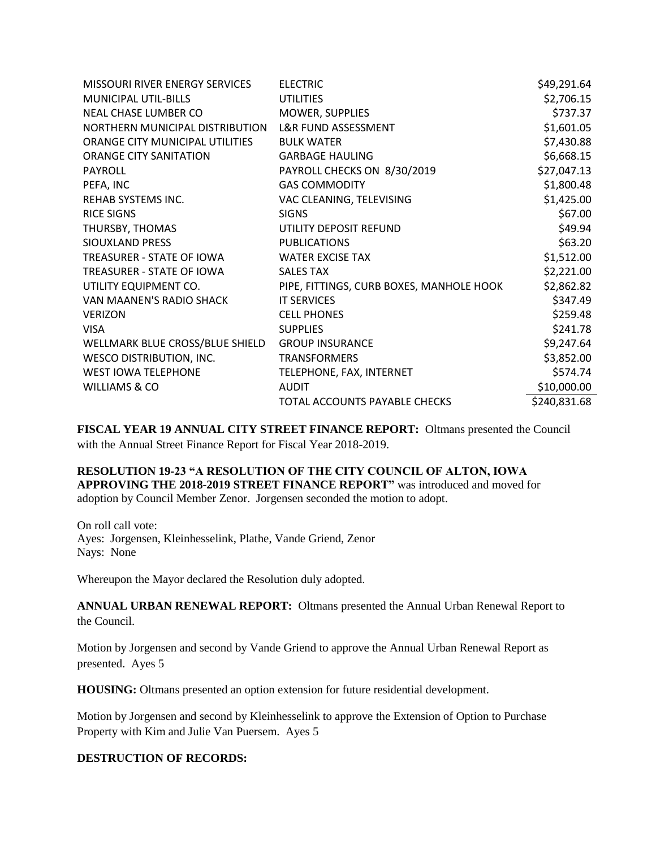| MISSOURI RIVER ENERGY SERVICES  | <b>ELECTRIC</b>                          | \$49,291.64  |
|---------------------------------|------------------------------------------|--------------|
| <b>MUNICIPAL UTIL-BILLS</b>     | <b>UTILITIES</b>                         | \$2,706.15   |
| NEAL CHASE LUMBER CO            | <b>MOWER, SUPPLIES</b>                   | \$737.37     |
| NORTHERN MUNICIPAL DISTRIBUTION | L&R FUND ASSESSMENT                      | \$1,601.05   |
| ORANGE CITY MUNICIPAL UTILITIES | <b>BULK WATER</b>                        | \$7,430.88   |
| <b>ORANGE CITY SANITATION</b>   | <b>GARBAGE HAULING</b>                   | \$6,668.15   |
| <b>PAYROLL</b>                  | PAYROLL CHECKS ON 8/30/2019              | \$27,047.13  |
| PEFA, INC                       | <b>GAS COMMODITY</b>                     | \$1,800.48   |
| REHAB SYSTEMS INC.              | VAC CLEANING, TELEVISING                 | \$1,425.00   |
| <b>RICE SIGNS</b>               | <b>SIGNS</b>                             | \$67.00      |
| THURSBY, THOMAS                 | UTILITY DEPOSIT REFUND                   | \$49.94      |
| SIOUXLAND PRESS                 | <b>PUBLICATIONS</b>                      | \$63.20      |
| TREASURER - STATE OF IOWA       | <b>WATER EXCISE TAX</b>                  | \$1,512.00   |
| TREASURER - STATE OF IOWA       | <b>SALES TAX</b>                         | \$2,221.00   |
| UTILITY EQUIPMENT CO.           | PIPE, FITTINGS, CURB BOXES, MANHOLE HOOK | \$2,862.82   |
| VAN MAANEN'S RADIO SHACK        | <b>IT SERVICES</b>                       | \$347.49     |
| <b>VERIZON</b>                  | <b>CELL PHONES</b>                       | \$259.48     |
| <b>VISA</b>                     | <b>SUPPLIES</b>                          | \$241.78     |
| WELLMARK BLUE CROSS/BLUE SHIELD | <b>GROUP INSURANCE</b>                   | \$9,247.64   |
| <b>WESCO DISTRIBUTION, INC.</b> | <b>TRANSFORMERS</b>                      | \$3,852.00   |
| <b>WEST IOWA TELEPHONE</b>      | TELEPHONE, FAX, INTERNET                 | \$574.74     |
| WILLIAMS & CO                   | <b>AUDIT</b>                             |              |
|                                 | TOTAL ACCOUNTS PAYABLE CHECKS            | \$240,831.68 |

**FISCAL YEAR 19 ANNUAL CITY STREET FINANCE REPORT:** Oltmans presented the Council with the Annual Street Finance Report for Fiscal Year 2018-2019.

**RESOLUTION 19-23 "A RESOLUTION OF THE CITY COUNCIL OF ALTON, IOWA APPROVING THE 2018-2019 STREET FINANCE REPORT"** was introduced and moved for adoption by Council Member Zenor. Jorgensen seconded the motion to adopt.

On roll call vote: Ayes: Jorgensen, Kleinhesselink, Plathe, Vande Griend, Zenor Nays: None

Whereupon the Mayor declared the Resolution duly adopted.

**ANNUAL URBAN RENEWAL REPORT:** Oltmans presented the Annual Urban Renewal Report to the Council.

Motion by Jorgensen and second by Vande Griend to approve the Annual Urban Renewal Report as presented. Ayes 5

**HOUSING:** Oltmans presented an option extension for future residential development.

Motion by Jorgensen and second by Kleinhesselink to approve the Extension of Option to Purchase Property with Kim and Julie Van Puersem. Ayes 5

## **DESTRUCTION OF RECORDS:**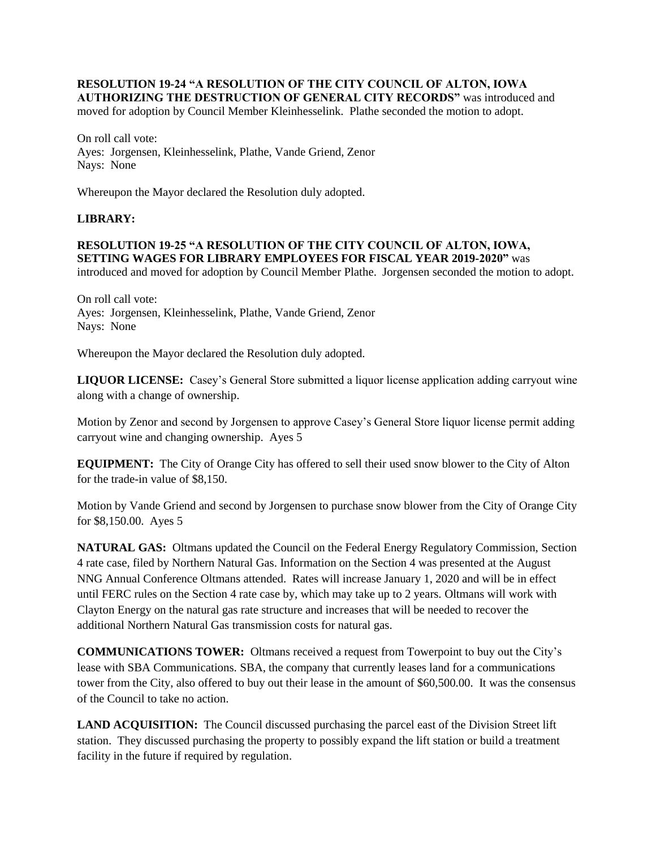## **RESOLUTION 19-24 "A RESOLUTION OF THE CITY COUNCIL OF ALTON, IOWA AUTHORIZING THE DESTRUCTION OF GENERAL CITY RECORDS"** was introduced and

moved for adoption by Council Member Kleinhesselink. Plathe seconded the motion to adopt.

On roll call vote: Ayes: Jorgensen, Kleinhesselink, Plathe, Vande Griend, Zenor Nays: None

Whereupon the Mayor declared the Resolution duly adopted.

## **LIBRARY:**

**RESOLUTION 19-25 "A RESOLUTION OF THE CITY COUNCIL OF ALTON, IOWA, SETTING WAGES FOR LIBRARY EMPLOYEES FOR FISCAL YEAR 2019-2020"** was introduced and moved for adoption by Council Member Plathe. Jorgensen seconded the motion to adopt.

On roll call vote: Ayes: Jorgensen, Kleinhesselink, Plathe, Vande Griend, Zenor Nays: None

Whereupon the Mayor declared the Resolution duly adopted.

**LIQUOR LICENSE:** Casey's General Store submitted a liquor license application adding carryout wine along with a change of ownership.

Motion by Zenor and second by Jorgensen to approve Casey's General Store liquor license permit adding carryout wine and changing ownership. Ayes 5

**EQUIPMENT:** The City of Orange City has offered to sell their used snow blower to the City of Alton for the trade-in value of \$8,150.

Motion by Vande Griend and second by Jorgensen to purchase snow blower from the City of Orange City for \$8,150.00. Ayes 5

**NATURAL GAS:** Oltmans updated the Council on the Federal Energy Regulatory Commission, Section 4 rate case, filed by Northern Natural Gas. Information on the Section 4 was presented at the August NNG Annual Conference Oltmans attended. Rates will increase January 1, 2020 and will be in effect until FERC rules on the Section 4 rate case by, which may take up to 2 years. Oltmans will work with Clayton Energy on the natural gas rate structure and increases that will be needed to recover the additional Northern Natural Gas transmission costs for natural gas.

**COMMUNICATIONS TOWER:** Oltmans received a request from Towerpoint to buy out the City's lease with SBA Communications. SBA, the company that currently leases land for a communications tower from the City, also offered to buy out their lease in the amount of \$60,500.00. It was the consensus of the Council to take no action.

**LAND ACQUISITION:** The Council discussed purchasing the parcel east of the Division Street lift station. They discussed purchasing the property to possibly expand the lift station or build a treatment facility in the future if required by regulation.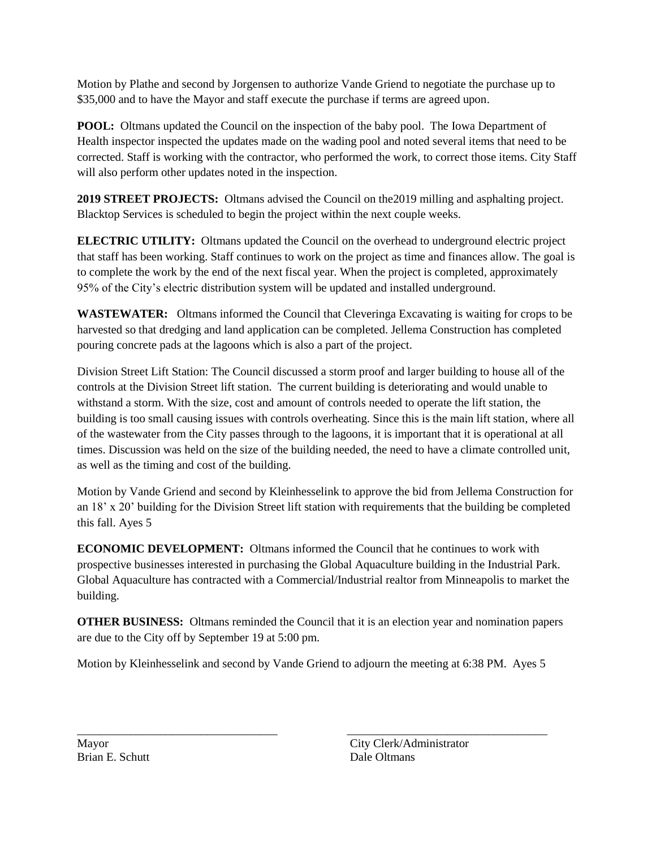Motion by Plathe and second by Jorgensen to authorize Vande Griend to negotiate the purchase up to \$35,000 and to have the Mayor and staff execute the purchase if terms are agreed upon.

**POOL:** Oltmans updated the Council on the inspection of the baby pool. The Iowa Department of Health inspector inspected the updates made on the wading pool and noted several items that need to be corrected. Staff is working with the contractor, who performed the work, to correct those items. City Staff will also perform other updates noted in the inspection.

**2019 STREET PROJECTS:** Oltmans advised the Council on the2019 milling and asphalting project. Blacktop Services is scheduled to begin the project within the next couple weeks.

**ELECTRIC UTILITY:** Oltmans updated the Council on the overhead to underground electric project that staff has been working. Staff continues to work on the project as time and finances allow. The goal is to complete the work by the end of the next fiscal year. When the project is completed, approximately 95% of the City's electric distribution system will be updated and installed underground.

**WASTEWATER:** Oltmans informed the Council that Cleveringa Excavating is waiting for crops to be harvested so that dredging and land application can be completed. Jellema Construction has completed pouring concrete pads at the lagoons which is also a part of the project.

Division Street Lift Station: The Council discussed a storm proof and larger building to house all of the controls at the Division Street lift station. The current building is deteriorating and would unable to withstand a storm. With the size, cost and amount of controls needed to operate the lift station, the building is too small causing issues with controls overheating. Since this is the main lift station, where all of the wastewater from the City passes through to the lagoons, it is important that it is operational at all times. Discussion was held on the size of the building needed, the need to have a climate controlled unit, as well as the timing and cost of the building.

Motion by Vande Griend and second by Kleinhesselink to approve the bid from Jellema Construction for an 18' x 20' building for the Division Street lift station with requirements that the building be completed this fall. Ayes 5

**ECONOMIC DEVELOPMENT:** Oltmans informed the Council that he continues to work with prospective businesses interested in purchasing the Global Aquaculture building in the Industrial Park. Global Aquaculture has contracted with a Commercial/Industrial realtor from Minneapolis to market the building.

**OTHER BUSINESS:** Oltmans reminded the Council that it is an election year and nomination papers are due to the City off by September 19 at 5:00 pm.

Motion by Kleinhesselink and second by Vande Griend to adjourn the meeting at 6:38 PM. Ayes 5

\_\_\_\_\_\_\_\_\_\_\_\_\_\_\_\_\_\_\_\_\_\_\_\_\_\_\_\_\_\_\_\_\_\_ \_\_\_\_\_\_\_\_\_\_\_\_\_\_\_\_\_\_\_\_\_\_\_\_\_\_\_\_\_\_\_\_\_\_

Brian E. Schutt Dale Oltmans

Mayor City Clerk/Administrator